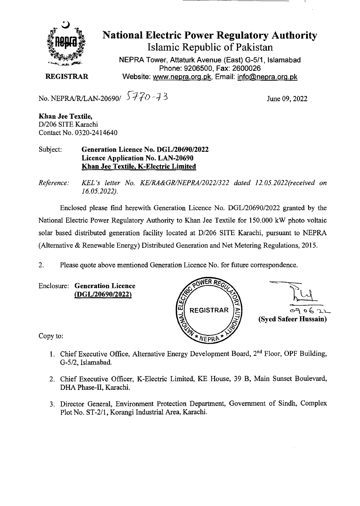

## **National Electric Power Regulatory Authority Islamic Republic of Pakistan**

**NEPRA Tower, Attaturk Avenue (East) G-511, Islamabad Phone: 9206500, Fax: 2600026 REGISTRAR** Website: www.nepra.org.pk, Email: info@nepra.org.pk

No. NEPRA/R/LAN-20690/  $5770 - 73$  June 09, 2022

**Khan Jee Textile,**  D/206 SITE Karachi Contact No. 0320-24 14640

Subject: **Generation Licence No.** *DGL12069012022*  **Licence Application No. LAN-20690 Khan Jee Textile, K-Electric Limited** 

*Reference: KEL 's letter No. KE/RA&GR/NEPRA/2022/322 dated 12. 05.2022(received on 16.05.2022).* 

Enclosed please fmd herewith Generation Licence No. DGL/20690/2022 granted by the National Electric Power Regulatory Authority to Khan Jee Textile for 150.000 kW photo voltaic solar based distributed generation facility located at *D1206* SITE Karachi, pursuant to NEPRA (Alternative & Renewable Energy) Distributed Generation and Net Metering Regulations, 2015.

2. Please quote above mentioned Generation Licence No. for future correspondence.

Enclosure: **Generation Licence (DGL/20690/2022)** 



Copy to:

- 1. Chief Executive Office, Alternative Energy Development Board, 2<sup>nd</sup> Floor, OPF Building, 0-5/2, Islamabad.
- 2. Chief Executive Officer, K-Electric Limited, KE House, 39 B, Main Sunset Boulevard, DHA Phase-Il, Karachi.
- 3. Director General, Environment Protection Department, Government of Sindh, Complex Plot No. ST-2/l, Korangi Industrial Area, Karachi.